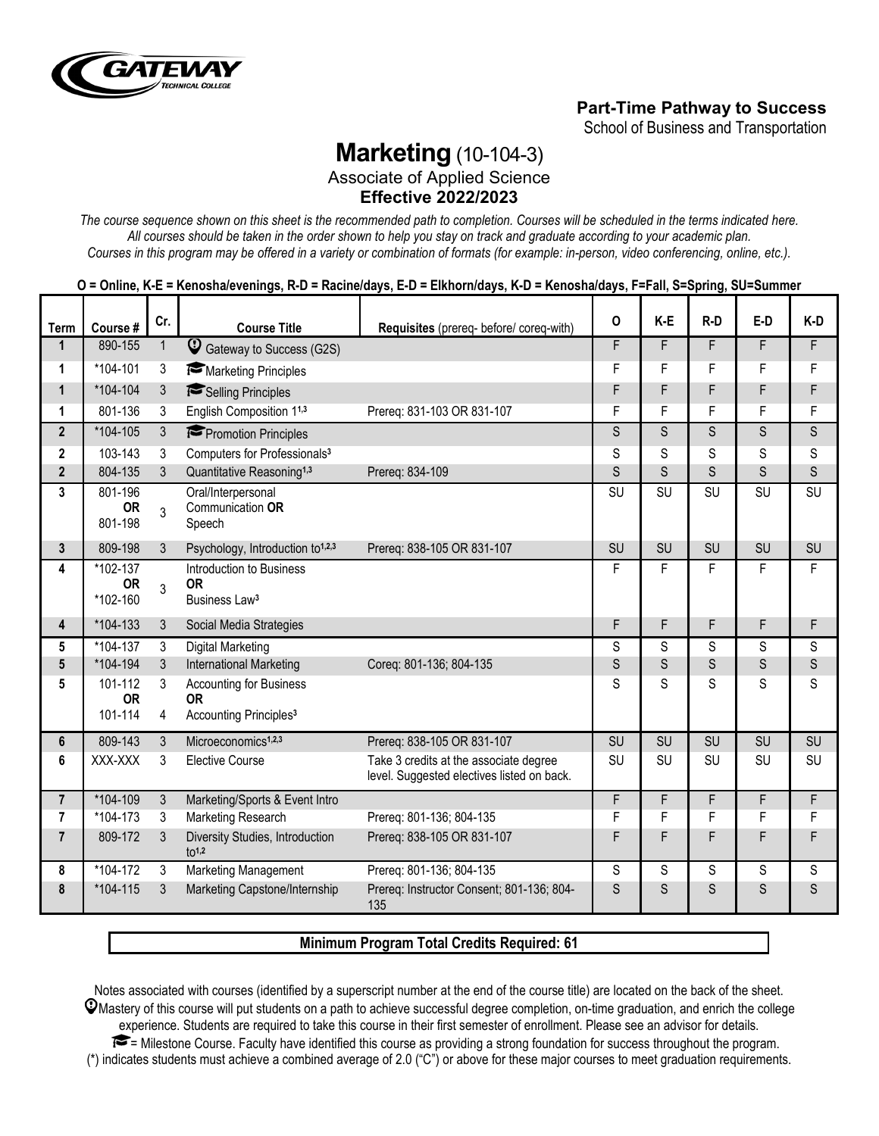

## **Part-Time Pathway to Success**

School of Business and Transportation

# **Marketing** (10-104-3)

Associate of Applied Science **Effective 2022/2023**

*The course sequence shown on this sheet is the recommended path to completion. Courses will be scheduled in the terms indicated here. All courses should be taken in the order shown to help you stay on track and graduate according to your academic plan. Courses in this program may be offered in a variety or combination of formats (for example: in-person, video conferencing, online, etc.).*

|                      | Course #                          | Cr.            | <b>Course Title</b>                                                |                                                                                      | $\mathbf{o}$           | K-E                     | $R-D$                   | E-D                     | K-D                     |
|----------------------|-----------------------------------|----------------|--------------------------------------------------------------------|--------------------------------------------------------------------------------------|------------------------|-------------------------|-------------------------|-------------------------|-------------------------|
| Term<br>$\mathbf{1}$ | 890-155                           | $\mathbf{1}$   | $\mathbb Q$<br>Gateway to Success (G2S)                            | Requisites (prereq- before/ coreq-with)                                              | F                      | F                       | F.                      | F.                      | F                       |
| 1                    | *104-101                          | 3              | Marketing Principles                                               |                                                                                      | F                      | F                       | F                       | F                       | F                       |
| $\mathbf{1}$         | *104-104                          | $\mathbf{3}$   | Selling Principles                                                 |                                                                                      | F                      | F                       | F                       | F                       | F                       |
| 1                    | 801-136                           | 3              | English Composition 11,3                                           | Prereq: 831-103 OR 831-107                                                           | F                      | F                       | F                       | F                       | F                       |
| $\overline{2}$       | *104-105                          | $\mathbf{3}$   | Promotion Principles                                               |                                                                                      | S                      | S                       | S                       | S                       | S                       |
| $\mathbf 2$          | 103-143                           | $\mathbf{3}$   | Computers for Professionals <sup>3</sup>                           |                                                                                      | S                      | S                       | S                       | S                       | S                       |
| $\overline{2}$       | 804-135                           | $\mathbf{3}$   | Quantitative Reasoning <sup>1,3</sup>                              | Prereq: 834-109                                                                      | S                      | S                       | S                       | S                       | S                       |
| 3                    | 801-196<br><b>OR</b><br>801-198   | 3              | Oral/Interpersonal<br>Communication OR<br>Speech                   |                                                                                      | $\overline{\text{SU}}$ | $\overline{\text{SU}}$  | $\overline{\text{SU}}$  | $\overline{\text{SU}}$  | $\overline{\text{SU}}$  |
| 3                    | 809-198                           | $\mathbf{3}$   | Psychology, Introduction to <sup>1,2,3</sup>                       | Prereq: 838-105 OR 831-107                                                           | <b>SU</b>              | <b>SU</b>               | <b>SU</b>               | SU                      | <b>SU</b>               |
| 4                    | *102-137<br><b>OR</b><br>*102-160 | $\mathbf{3}$   | Introduction to Business<br><b>OR</b><br>Business Law <sup>3</sup> |                                                                                      | F                      | F                       | F                       | F                       | F                       |
| 4                    | *104-133                          | $\mathbf{3}$   | Social Media Strategies                                            |                                                                                      | F                      | F                       | F                       | F                       | F                       |
| 5                    | *104-137                          | $\mathbf{3}$   | Digital Marketing                                                  |                                                                                      | S                      | S                       | S                       | S                       | S                       |
| $5\phantom{.0}$      | *104-194                          | $\mathfrak{Z}$ | International Marketing                                            | Coreq: 801-136; 804-135                                                              | $\mathsf S$            | S                       | S                       | S                       | $\mathsf S$             |
| 5                    | 101-112<br><b>OR</b>              | 3              | <b>Accounting for Business</b><br><b>OR</b>                        |                                                                                      | S                      | $\overline{\mathsf{S}}$ | $\overline{\mathsf{S}}$ | $\overline{\mathsf{S}}$ | $\overline{\mathbf{S}}$ |
|                      | 101-114                           | $\overline{4}$ | Accounting Principles <sup>3</sup>                                 |                                                                                      |                        |                         |                         |                         |                         |
| 6                    | 809-143                           | $\mathbf{3}$   | Microeconomics <sup>1,2,3</sup>                                    | Prereq: 838-105 OR 831-107                                                           | <b>SU</b>              | <b>SU</b>               | <b>SU</b>               | <b>SU</b>               | SU                      |
| 6                    | XXX-XXX                           | 3              | <b>Elective Course</b>                                             | Take 3 credits at the associate degree<br>level. Suggested electives listed on back. | <b>SU</b>              | <b>SU</b>               | <b>SU</b>               | <b>SU</b>               | <b>SU</b>               |
| $\overline{7}$       | *104-109                          | $\mathbf{3}$   | Marketing/Sports & Event Intro                                     |                                                                                      | F.                     | F                       | F.                      | F                       | F                       |
| 7                    | *104-173                          | 3              | Marketing Research                                                 | Prereq: 801-136; 804-135                                                             | F                      | F                       | F                       | F                       | F                       |
| $\overline{7}$       | 809-172                           | 3              | Diversity Studies, Introduction<br>$10^{1,2}$                      | Prereq: 838-105 OR 831-107                                                           | F                      | F                       | F                       | F                       | F                       |
| 8                    | *104-172                          | 3              | Marketing Management                                               | Prereq: 801-136; 804-135                                                             | S                      | S                       | S                       | S                       | S                       |
| 8                    | *104-115                          | 3              | Marketing Capstone/Internship                                      | Prereq: Instructor Consent; 801-136; 804-<br>135                                     | S                      | S                       | S                       | S                       | S                       |

#### **Minimum Program Total Credits Required: 61**

Notes associated with courses (identified by a superscript number at the end of the course title) are located on the back of the sheet.  $\mathcal Q$ Mastery of this course will put students on a path to achieve successful degree completion, on-time graduation, and enrich the college experience. Students are required to take this course in their first semester of enrollment. Please see an advisor for details. = Milestone Course. Faculty have identified this course as providing a strong foundation for success throughout the program. (\*) indicates students must achieve a combined average of 2.0 ("C") or above for these major courses to meet graduation requirements.